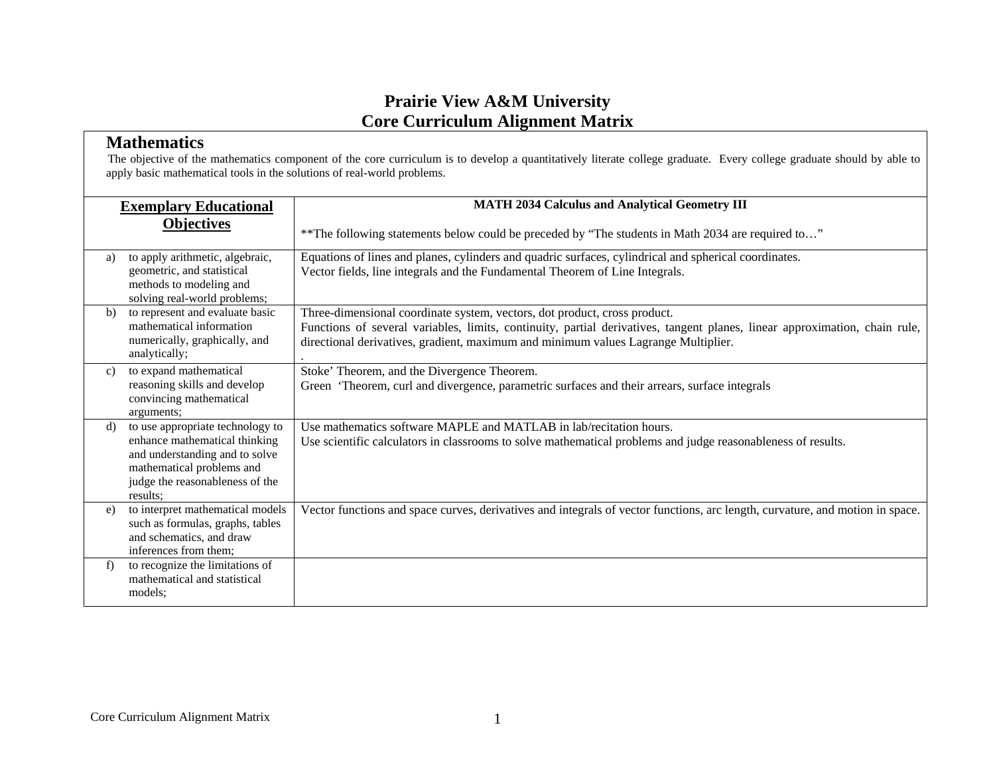#### **Mathematics**

| <b>Exemplary Educational</b> |                                                                                                                                                                                 | <b>MATH 2034 Calculus and Analytical Geometry III</b>                                                                                                                                                                                                                                         |
|------------------------------|---------------------------------------------------------------------------------------------------------------------------------------------------------------------------------|-----------------------------------------------------------------------------------------------------------------------------------------------------------------------------------------------------------------------------------------------------------------------------------------------|
|                              | <b>Objectives</b>                                                                                                                                                               | ** The following statements below could be preceded by "The students in Math 2034 are required to"                                                                                                                                                                                            |
| a)                           | to apply arithmetic, algebraic,<br>geometric, and statistical<br>methods to modeling and<br>solving real-world problems;                                                        | Equations of lines and planes, cylinders and quadric surfaces, cylindrical and spherical coordinates.<br>Vector fields, line integrals and the Fundamental Theorem of Line Integrals.                                                                                                         |
| b)                           | to represent and evaluate basic<br>mathematical information<br>numerically, graphically, and<br>analytically;                                                                   | Three-dimensional coordinate system, vectors, dot product, cross product.<br>Functions of several variables, limits, continuity, partial derivatives, tangent planes, linear approximation, chain rule,<br>directional derivatives, gradient, maximum and minimum values Lagrange Multiplier. |
| c)                           | to expand mathematical<br>reasoning skills and develop<br>convincing mathematical<br>arguments;                                                                                 | Stoke' Theorem, and the Divergence Theorem.<br>Green 'Theorem, curl and divergence, parametric surfaces and their arrears, surface integrals                                                                                                                                                  |
| d)                           | to use appropriate technology to<br>enhance mathematical thinking<br>and understanding and to solve<br>mathematical problems and<br>judge the reasonableness of the<br>results: | Use mathematics software MAPLE and MATLAB in lab/recitation hours.<br>Use scientific calculators in classrooms to solve mathematical problems and judge reasonableness of results.                                                                                                            |
| e)                           | to interpret mathematical models<br>such as formulas, graphs, tables<br>and schematics, and draw<br>inferences from them:                                                       | Vector functions and space curves, derivatives and integrals of vector functions, arc length, curvature, and motion in space.                                                                                                                                                                 |
| f                            | to recognize the limitations of<br>mathematical and statistical<br>models:                                                                                                      |                                                                                                                                                                                                                                                                                               |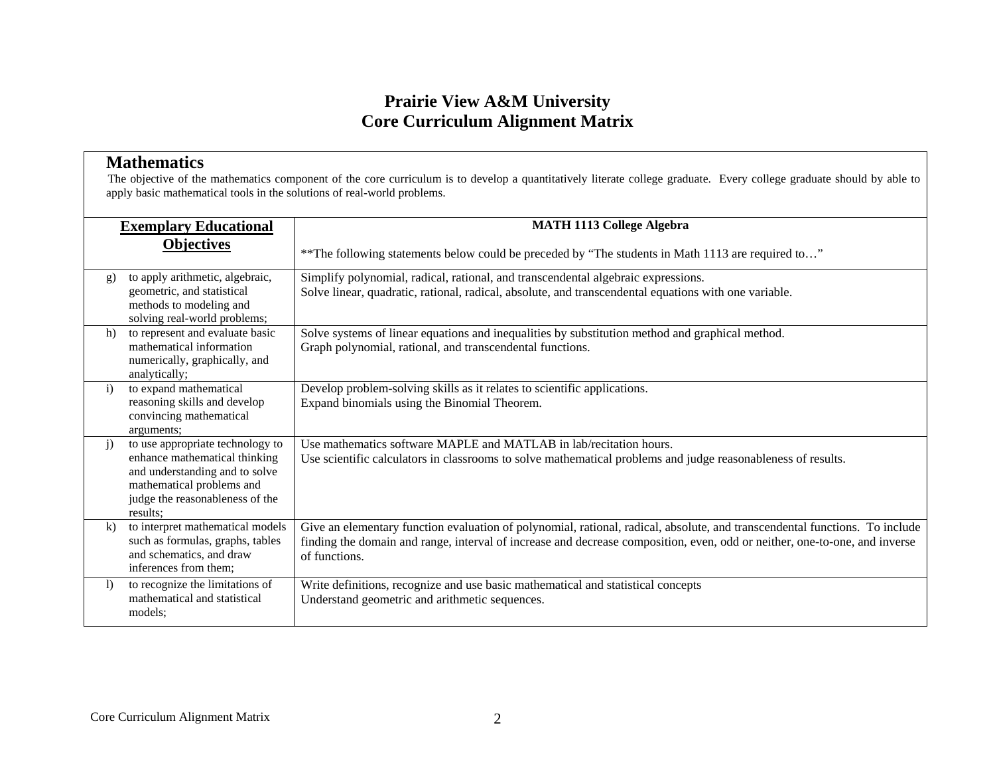#### **Mathematics**

|              | <b>Exemplary Educational</b>                                                                                                                                                    | <b>MATH 1113 College Algebra</b>                                                                                                                                                                                                                                           |  |
|--------------|---------------------------------------------------------------------------------------------------------------------------------------------------------------------------------|----------------------------------------------------------------------------------------------------------------------------------------------------------------------------------------------------------------------------------------------------------------------------|--|
|              | <b>Objectives</b>                                                                                                                                                               | ** The following statements below could be preceded by "The students in Math 1113 are required to"                                                                                                                                                                         |  |
| g)           | to apply arithmetic, algebraic,<br>geometric, and statistical<br>methods to modeling and<br>solving real-world problems;                                                        | Simplify polynomial, radical, rational, and transcendental algebraic expressions.<br>Solve linear, quadratic, rational, radical, absolute, and transcendental equations with one variable.                                                                                 |  |
| h)           | to represent and evaluate basic<br>mathematical information<br>numerically, graphically, and<br>analytically;                                                                   | Solve systems of linear equations and inequalities by substitution method and graphical method.<br>Graph polynomial, rational, and transcendental functions.                                                                                                               |  |
| $\mathbf{i}$ | to expand mathematical<br>reasoning skills and develop<br>convincing mathematical<br>arguments;                                                                                 | Develop problem-solving skills as it relates to scientific applications.<br>Expand binomials using the Binomial Theorem.                                                                                                                                                   |  |
| j)           | to use appropriate technology to<br>enhance mathematical thinking<br>and understanding and to solve<br>mathematical problems and<br>judge the reasonableness of the<br>results: | Use mathematics software MAPLE and MATLAB in lab/recitation hours.<br>Use scientific calculators in classrooms to solve mathematical problems and judge reasonableness of results.                                                                                         |  |
| $\bf{k}$     | to interpret mathematical models<br>such as formulas, graphs, tables<br>and schematics, and draw<br>inferences from them;                                                       | Give an elementary function evaluation of polynomial, rational, radical, absolute, and transcendental functions. To include<br>finding the domain and range, interval of increase and decrease composition, even, odd or neither, one-to-one, and inverse<br>of functions. |  |
| $\mathbf{D}$ | to recognize the limitations of<br>mathematical and statistical<br>models:                                                                                                      | Write definitions, recognize and use basic mathematical and statistical concepts<br>Understand geometric and arithmetic sequences.                                                                                                                                         |  |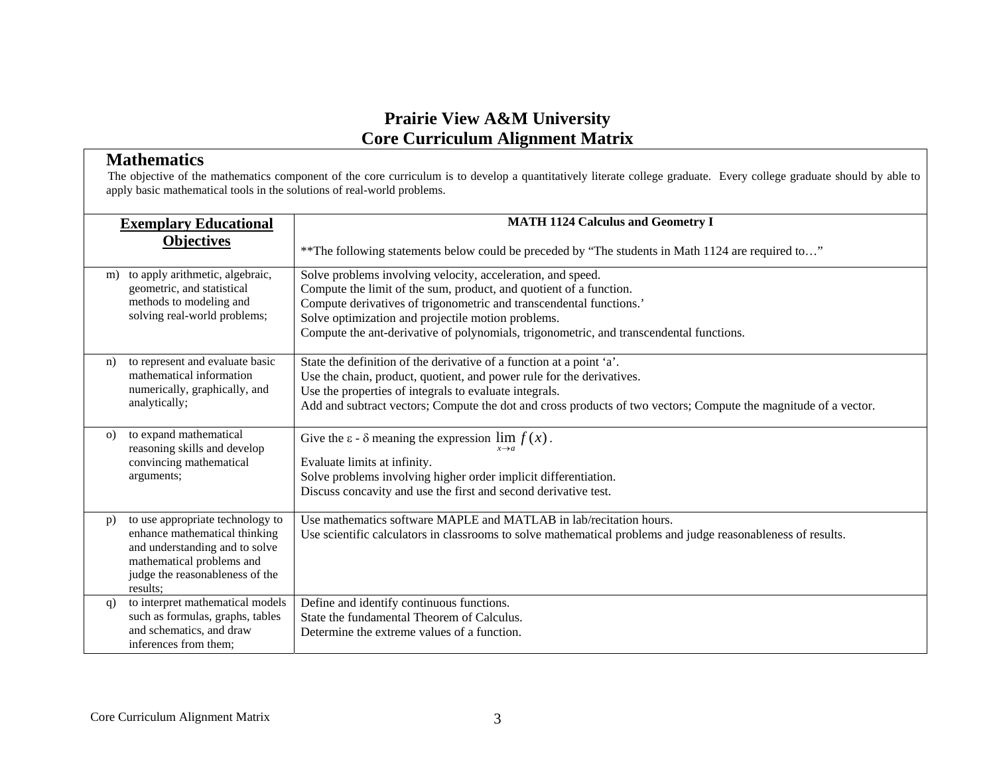#### **Mathematics**

|          | <b>Exemplary Educational</b>                                                                                                                                                    | <b>MATH 1124 Calculus and Geometry I</b>                                                                                                                                                                                                                                                                                                                  |
|----------|---------------------------------------------------------------------------------------------------------------------------------------------------------------------------------|-----------------------------------------------------------------------------------------------------------------------------------------------------------------------------------------------------------------------------------------------------------------------------------------------------------------------------------------------------------|
|          | <b>Objectives</b>                                                                                                                                                               | ** The following statements below could be preceded by "The students in Math 1124 are required to"                                                                                                                                                                                                                                                        |
| m)       | to apply arithmetic, algebraic,<br>geometric, and statistical<br>methods to modeling and<br>solving real-world problems;                                                        | Solve problems involving velocity, acceleration, and speed.<br>Compute the limit of the sum, product, and quotient of a function.<br>Compute derivatives of trigonometric and transcendental functions.'<br>Solve optimization and projectile motion problems.<br>Compute the ant-derivative of polynomials, trigonometric, and transcendental functions. |
| n)       | to represent and evaluate basic<br>mathematical information<br>numerically, graphically, and<br>analytically;                                                                   | State the definition of the derivative of a function at a point 'a'.<br>Use the chain, product, quotient, and power rule for the derivatives.<br>Use the properties of integrals to evaluate integrals.<br>Add and subtract vectors; Compute the dot and cross products of two vectors; Compute the magnitude of a vector.                                |
| $\Omega$ | to expand mathematical<br>reasoning skills and develop<br>convincing mathematical<br>arguments;                                                                                 | Give the $\varepsilon$ - $\delta$ meaning the expression $\lim_{x \to \infty} f(x)$ .<br>$x \rightarrow a$<br>Evaluate limits at infinity.<br>Solve problems involving higher order implicit differentiation.<br>Discuss concavity and use the first and second derivative test.                                                                          |
| p)       | to use appropriate technology to<br>enhance mathematical thinking<br>and understanding and to solve<br>mathematical problems and<br>judge the reasonableness of the<br>results: | Use mathematics software MAPLE and MATLAB in lab/recitation hours.<br>Use scientific calculators in classrooms to solve mathematical problems and judge reasonableness of results.                                                                                                                                                                        |
| q)       | to interpret mathematical models<br>such as formulas, graphs, tables<br>and schematics, and draw<br>inferences from them;                                                       | Define and identify continuous functions.<br>State the fundamental Theorem of Calculus.<br>Determine the extreme values of a function.                                                                                                                                                                                                                    |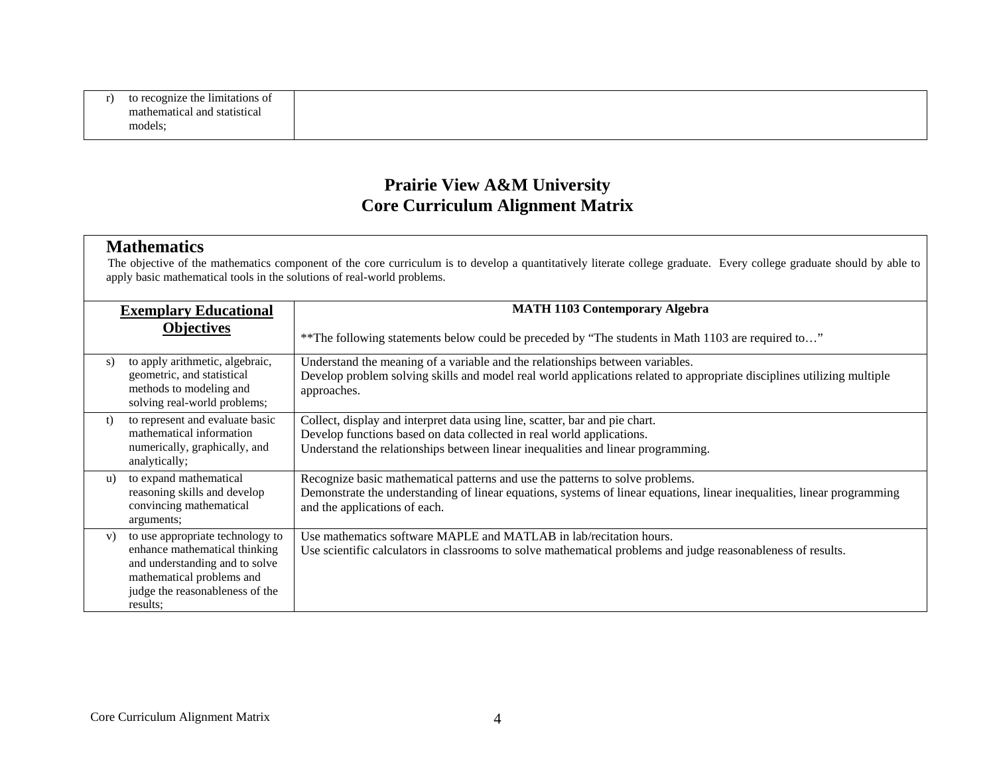| to recognize the limitations of |
|---------------------------------|
| mathematical and statistical    |
| models;                         |

#### **Mathematics**

|    | <b>Exemplary Educational</b>                                                                                                                                                    | <b>MATH 1103 Contemporary Algebra</b>                                                                                                                                                                                                     |
|----|---------------------------------------------------------------------------------------------------------------------------------------------------------------------------------|-------------------------------------------------------------------------------------------------------------------------------------------------------------------------------------------------------------------------------------------|
|    | <b>Objectives</b>                                                                                                                                                               | ** The following statements below could be preceded by "The students in Math 1103 are required to"                                                                                                                                        |
| S) | to apply arithmetic, algebraic,<br>geometric, and statistical<br>methods to modeling and<br>solving real-world problems;                                                        | Understand the meaning of a variable and the relationships between variables.<br>Develop problem solving skills and model real world applications related to appropriate disciplines utilizing multiple<br>approaches.                    |
| t) | to represent and evaluate basic<br>mathematical information<br>numerically, graphically, and<br>analytically;                                                                   | Collect, display and interpret data using line, scatter, bar and pie chart.<br>Develop functions based on data collected in real world applications.<br>Understand the relationships between linear inequalities and linear programming.  |
| u) | to expand mathematical<br>reasoning skills and develop<br>convincing mathematical<br>arguments;                                                                                 | Recognize basic mathematical patterns and use the patterns to solve problems.<br>Demonstrate the understanding of linear equations, systems of linear equations, linear inequalities, linear programming<br>and the applications of each. |
| V) | to use appropriate technology to<br>enhance mathematical thinking<br>and understanding and to solve<br>mathematical problems and<br>judge the reasonableness of the<br>results: | Use mathematics software MAPLE and MATLAB in lab/recitation hours.<br>Use scientific calculators in classrooms to solve mathematical problems and judge reasonableness of results.                                                        |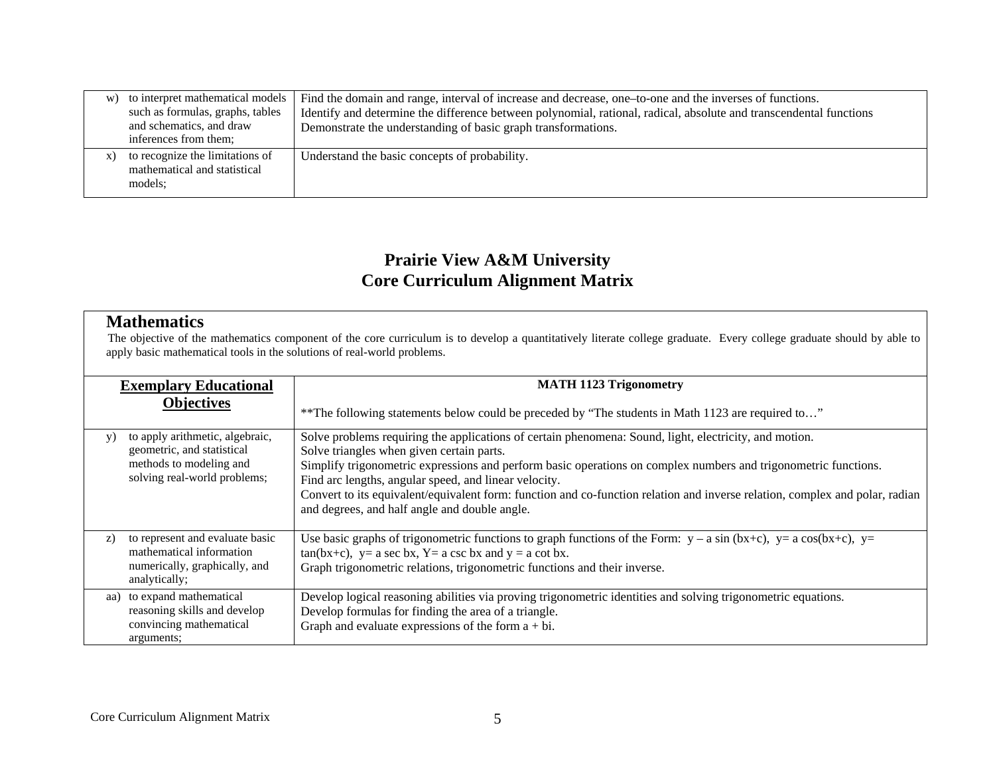| W) | to interpret mathematical models<br>such as formulas, graphs, tables<br>and schematics, and draw<br>inferences from them: | Find the domain and range, interval of increase and decrease, one-to-one and the inverses of functions.<br>Identify and determine the difference between polynomial, rational, radical, absolute and transcendental functions<br>Demonstrate the understanding of basic graph transformations. |
|----|---------------------------------------------------------------------------------------------------------------------------|------------------------------------------------------------------------------------------------------------------------------------------------------------------------------------------------------------------------------------------------------------------------------------------------|
| X) | to recognize the limitations of<br>mathematical and statistical<br>models:                                                | Understand the basic concepts of probability.                                                                                                                                                                                                                                                  |

#### **Mathematics**

|     | <b>Exemplary Educational</b>                                                                                             | <b>MATH 1123 Trigonometry</b>                                                                                                                                                                                                                                                                                                                                                                                                                                                                                    |  |
|-----|--------------------------------------------------------------------------------------------------------------------------|------------------------------------------------------------------------------------------------------------------------------------------------------------------------------------------------------------------------------------------------------------------------------------------------------------------------------------------------------------------------------------------------------------------------------------------------------------------------------------------------------------------|--|
|     | <b>Objectives</b>                                                                                                        | ** The following statements below could be preceded by "The students in Math 1123 are required to"                                                                                                                                                                                                                                                                                                                                                                                                               |  |
| y)  | to apply arithmetic, algebraic,<br>geometric, and statistical<br>methods to modeling and<br>solving real-world problems; | Solve problems requiring the applications of certain phenomena: Sound, light, electricity, and motion.<br>Solve triangles when given certain parts.<br>Simplify trigonometric expressions and perform basic operations on complex numbers and trigonometric functions.<br>Find arc lengths, angular speed, and linear velocity.<br>Convert to its equivalent/equivalent form: function and co-function relation and inverse relation, complex and polar, radian<br>and degrees, and half angle and double angle. |  |
| z)  | to represent and evaluate basic<br>mathematical information<br>numerically, graphically, and<br>analytically;            | Use basic graphs of trigonometric functions to graph functions of the Form: $y - a \sin(bx+c)$ , $y = a \cos(bx+c)$ , $y = a \cos(bx+c)$<br>$tan(bx+c)$ , $y=a \sec bx$ , $Y=a \csc bx$ and $y = a \cot bx$ .<br>Graph trigonometric relations, trigonometric functions and their inverse.                                                                                                                                                                                                                       |  |
| aa) | to expand mathematical<br>reasoning skills and develop<br>convincing mathematical<br>arguments;                          | Develop logical reasoning abilities via proving trigonometric identities and solving trigonometric equations.<br>Develop formulas for finding the area of a triangle.<br>Graph and evaluate expressions of the form $a + bi$ .                                                                                                                                                                                                                                                                                   |  |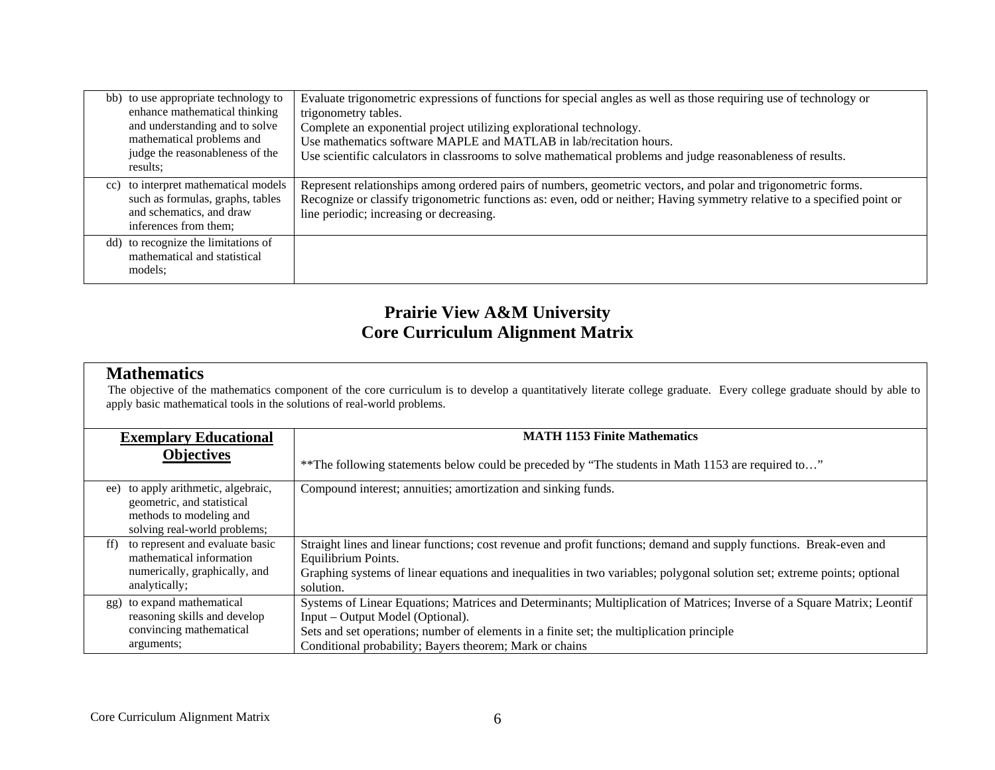| bb) to use appropriate technology to<br>enhance mathematical thinking<br>and understanding and to solve<br>mathematical problems and<br>judge the reasonableness of the<br>results: | Evaluate trigonometric expressions of functions for special angles as well as those requiring use of technology or<br>trigonometry tables.<br>Complete an exponential project utilizing explorational technology.<br>Use mathematics software MAPLE and MATLAB in lab/recitation hours.<br>Use scientific calculators in classrooms to solve mathematical problems and judge reasonableness of results. |
|-------------------------------------------------------------------------------------------------------------------------------------------------------------------------------------|---------------------------------------------------------------------------------------------------------------------------------------------------------------------------------------------------------------------------------------------------------------------------------------------------------------------------------------------------------------------------------------------------------|
| cc) to interpret mathematical models<br>such as formulas, graphs, tables<br>and schematics, and draw<br>inferences from them:                                                       | Represent relationships among ordered pairs of numbers, geometric vectors, and polar and trigonometric forms.<br>Recognize or classify trigonometric functions as: even, odd or neither; Having symmetry relative to a specified point or<br>line periodic; increasing or decreasing.                                                                                                                   |
| dd) to recognize the limitations of<br>mathematical and statistical<br>models:                                                                                                      |                                                                                                                                                                                                                                                                                                                                                                                                         |

#### **Mathematics**

|     | <b>Exemplary Educational</b>                                                                                             | <b>MATH 1153 Finite Mathematics</b>                                                                                                                                                                                                                                                                                 |
|-----|--------------------------------------------------------------------------------------------------------------------------|---------------------------------------------------------------------------------------------------------------------------------------------------------------------------------------------------------------------------------------------------------------------------------------------------------------------|
|     | <b>Objectives</b>                                                                                                        | ** The following statements below could be preceded by "The students in Math 1153 are required to"                                                                                                                                                                                                                  |
| ee) | to apply arithmetic, algebraic,<br>geometric, and statistical<br>methods to modeling and<br>solving real-world problems; | Compound interest; annuities; amortization and sinking funds.                                                                                                                                                                                                                                                       |
| ff) | to represent and evaluate basic<br>mathematical information<br>numerically, graphically, and<br>analytically;            | Straight lines and linear functions; cost revenue and profit functions; demand and supply functions. Break-even and<br>Equilibrium Points.<br>Graphing systems of linear equations and inequalities in two variables; polygonal solution set; extreme points; optional<br>solution.                                 |
| gg) | to expand mathematical<br>reasoning skills and develop<br>convincing mathematical<br>arguments;                          | Systems of Linear Equations; Matrices and Determinants; Multiplication of Matrices; Inverse of a Square Matrix; Leontif<br>Input – Output Model (Optional).<br>Sets and set operations; number of elements in a finite set; the multiplication principle<br>Conditional probability; Bayers theorem; Mark or chains |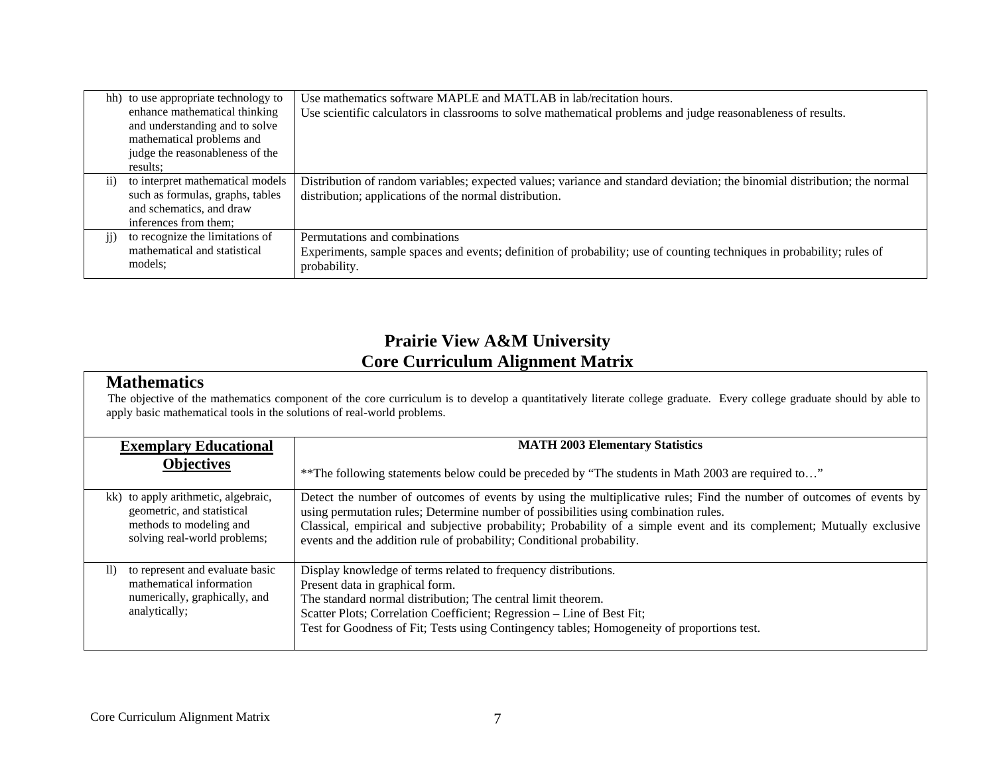|           | hh) to use appropriate technology to<br>enhance mathematical thinking<br>and understanding and to solve<br>mathematical problems and<br>judge the reasonableness of the<br>results: | Use mathematics software MAPLE and MATLAB in lab/recitation hours.<br>Use scientific calculators in classrooms to solve mathematical problems and judge reasonableness of results.  |
|-----------|-------------------------------------------------------------------------------------------------------------------------------------------------------------------------------------|-------------------------------------------------------------------------------------------------------------------------------------------------------------------------------------|
| $\rm ii)$ | to interpret mathematical models<br>such as formulas, graphs, tables<br>and schematics, and draw<br>inferences from them;                                                           | Distribution of random variables; expected values; variance and standard deviation; the binomial distribution; the normal<br>distribution; applications of the normal distribution. |
| $\rm ii)$ | to recognize the limitations of<br>mathematical and statistical<br>models;                                                                                                          | Permutations and combinations<br>Experiments, sample spaces and events; definition of probability; use of counting techniques in probability; rules of<br>probability.              |

#### **Mathematics**

| <b>Exemplary Educational</b>        | <b>MATH 2003 Elementary Statistics</b>                                                                                |
|-------------------------------------|-----------------------------------------------------------------------------------------------------------------------|
| <b>Objectives</b>                   | ** The following statements below could be preceded by "The students in Math 2003 are required to"                    |
| kk) to apply arithmetic, algebraic, | Detect the number of outcomes of events by using the multiplicative rules; Find the number of outcomes of events by   |
| geometric, and statistical          | using permutation rules; Determine number of possibilities using combination rules.                                   |
| methods to modeling and             | Classical, empirical and subjective probability; Probability of a simple event and its complement; Mutually exclusive |
| solving real-world problems;        | events and the addition rule of probability; Conditional probability.                                                 |
| to represent and evaluate basic     | Display knowledge of terms related to frequency distributions.                                                        |
| $\mathbf{ll}$                       | Present data in graphical form.                                                                                       |
| mathematical information            | The standard normal distribution; The central limit theorem.                                                          |
| numerically, graphically, and       | Scatter Plots; Correlation Coefficient; Regression - Line of Best Fit;                                                |
| analytically;                       | Test for Goodness of Fit; Tests using Contingency tables; Homogeneity of proportions test.                            |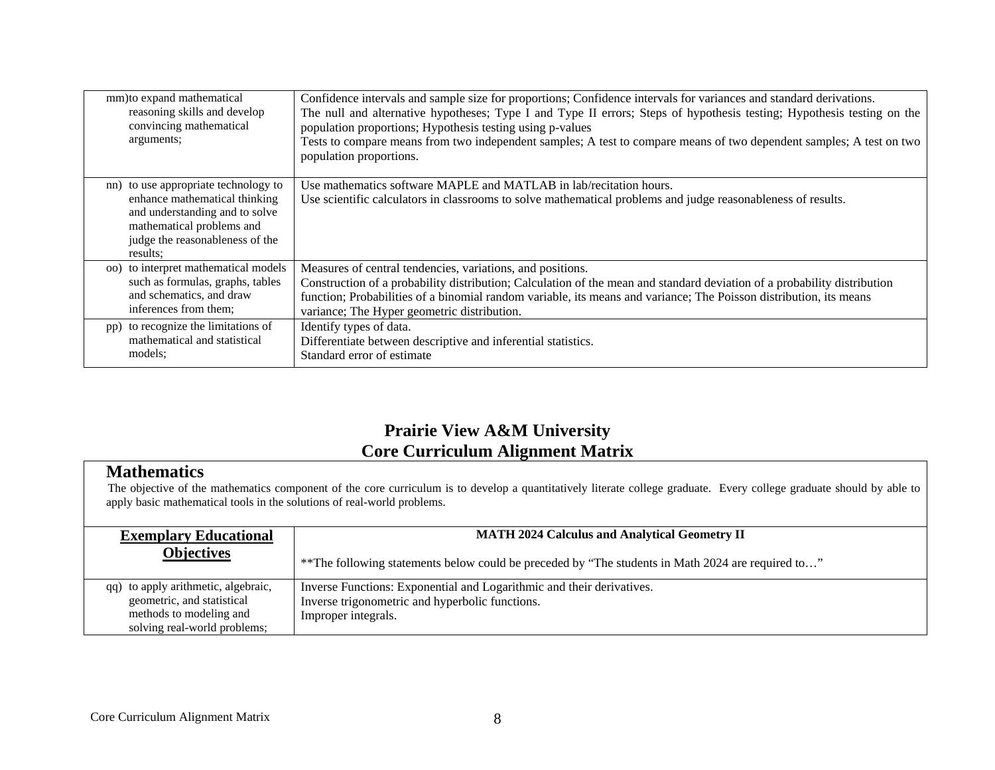| mm) to expand mathematical<br>reasoning skills and develop<br>convincing mathematical<br>arguments;                                                                                 | Confidence intervals and sample size for proportions; Confidence intervals for variances and standard derivations.<br>The null and alternative hypotheses; Type I and Type II errors; Steps of hypothesis testing; Hypothesis testing on the<br>population proportions; Hypothesis testing using p-values<br>Tests to compare means from two independent samples; A test to compare means of two dependent samples; A test on two<br>population proportions. |
|-------------------------------------------------------------------------------------------------------------------------------------------------------------------------------------|--------------------------------------------------------------------------------------------------------------------------------------------------------------------------------------------------------------------------------------------------------------------------------------------------------------------------------------------------------------------------------------------------------------------------------------------------------------|
| nn) to use appropriate technology to<br>enhance mathematical thinking<br>and understanding and to solve<br>mathematical problems and<br>judge the reasonableness of the<br>results: | Use mathematics software MAPLE and MATLAB in lab/recitation hours.<br>Use scientific calculators in classrooms to solve mathematical problems and judge reasonableness of results.                                                                                                                                                                                                                                                                           |
| oo) to interpret mathematical models                                                                                                                                                | Measures of central tendencies, variations, and positions.                                                                                                                                                                                                                                                                                                                                                                                                   |
| such as formulas, graphs, tables                                                                                                                                                    | Construction of a probability distribution; Calculation of the mean and standard deviation of a probability distribution                                                                                                                                                                                                                                                                                                                                     |
| and schematics, and draw                                                                                                                                                            | function; Probabilities of a binomial random variable, its means and variance; The Poisson distribution, its means                                                                                                                                                                                                                                                                                                                                           |
| inferences from them;                                                                                                                                                               | variance; The Hyper geometric distribution.                                                                                                                                                                                                                                                                                                                                                                                                                  |
| pp) to recognize the limitations of                                                                                                                                                 | Identify types of data.                                                                                                                                                                                                                                                                                                                                                                                                                                      |
| mathematical and statistical                                                                                                                                                        | Differentiate between descriptive and inferential statistics.                                                                                                                                                                                                                                                                                                                                                                                                |
| models:                                                                                                                                                                             | Standard error of estimate                                                                                                                                                                                                                                                                                                                                                                                                                                   |

### **Mathematics**

| <b>Exemplary Educational</b>                                                                                                 | <b>MATH 2024 Calculus and Analytical Geometry II</b>                                                                                            |
|------------------------------------------------------------------------------------------------------------------------------|-------------------------------------------------------------------------------------------------------------------------------------------------|
| <b>Objectives</b>                                                                                                            | ** The following statements below could be preceded by "The students in Math 2024 are required to"                                              |
| qq) to apply arithmetic, algebraic,<br>geometric, and statistical<br>methods to modeling and<br>solving real-world problems; | Inverse Functions: Exponential and Logarithmic and their derivatives.<br>Inverse trigonometric and hyperbolic functions.<br>Improper integrals. |